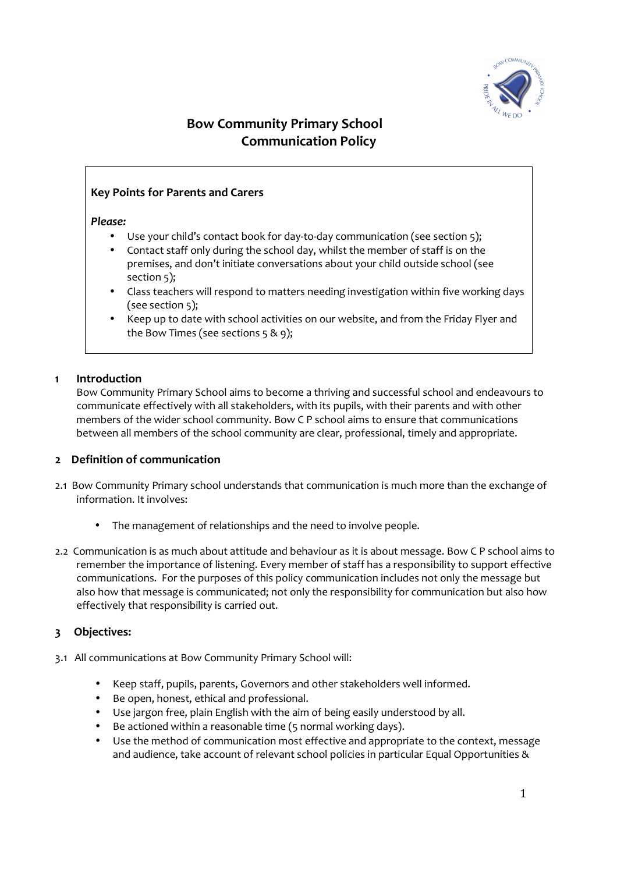

# **Bow Community Primary School Communication Policy**

# **Key Points for Parents and Carers**

#### *Please:*

- Use your child's contact book for day-to-day communication (see section 5);
- Contact staff only during the school day, whilst the member of staff is on the premises, and don't initiate conversations about your child outside school (see section 5);
- Class teachers will respond to matters needing investigation within five working days (see section 5);
- Keep up to date with school activities on our website, and from the Friday Flyer and the Bow Times (see sections 5 & 9);

### **1 Introduction**

Bow Community Primary School aims to become a thriving and successful school and endeavours to communicate effectively with all stakeholders, with its pupils, with their parents and with other members of the wider school community. Bow C P school aims to ensure that communications between all members of the school community are clear, professional, timely and appropriate.

### **2 Definition of communication**

- 2.1 Bow Community Primary school understands that communication is much more than the exchange of information. It involves:
	- The management of relationships and the need to involve people.
- 2.2 Communication is as much about attitude and behaviour as it is about message. Bow C P school aims to remember the importance of listening. Every member of staff has a responsibility to support effective communications. For the purposes of this policy communication includes not only the message but also how that message is communicated; not only the responsibility for communication but also how effectively that responsibility is carried out.

# **3 Objectives:**

- 3.1 All communications at Bow Community Primary School will:
	- Keep staff, pupils, parents, Governors and other stakeholders well informed.
	- Be open, honest, ethical and professional.
	- Use jargon free, plain English with the aim of being easily understood by all.
	- Be actioned within a reasonable time (5 normal working days).
	- Use the method of communication most effective and appropriate to the context, message and audience, take account of relevant school policies in particular Equal Opportunities &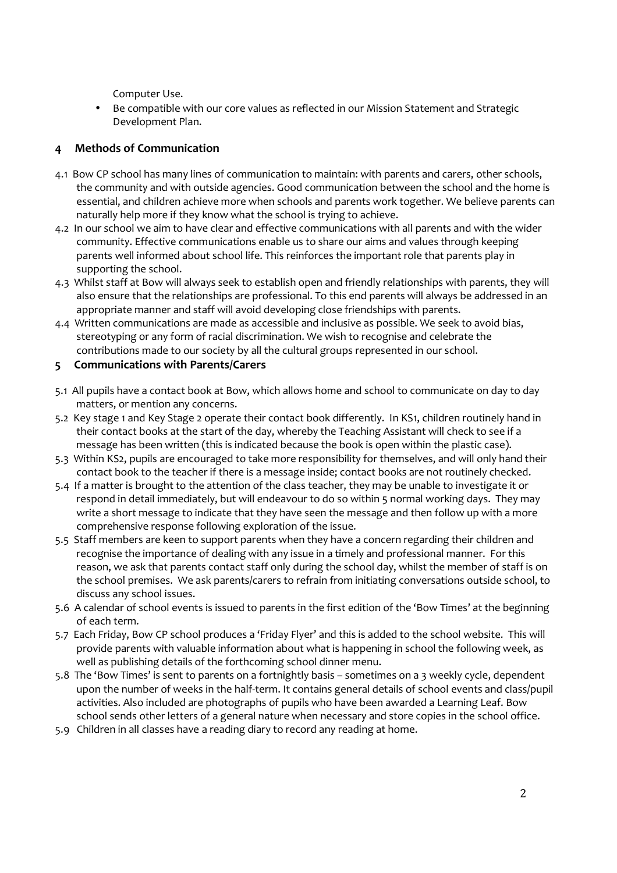Computer Use.

• Be compatible with our core values as reflected in our Mission Statement and Strategic Development Plan.

# **4 Methods of Communication**

- 4.1 Bow CP school has many lines of communication to maintain: with parents and carers, other schools, the community and with outside agencies. Good communication between the school and the home is essential, and children achieve more when schools and parents work together. We believe parents can naturally help more if they know what the school is trying to achieve.
- 4.2 In our school we aim to have clear and effective communications with all parents and with the wider community. Effective communications enable us to share our aims and values through keeping parents well informed about school life. This reinforces the important role that parents play in supporting the school.
- 4.3 Whilst staff at Bow will always seek to establish open and friendly relationships with parents, they will also ensure that the relationships are professional. To this end parents will always be addressed in an appropriate manner and staff will avoid developing close friendships with parents.
- 4.4 Written communications are made as accessible and inclusive as possible. We seek to avoid bias, stereotyping or any form of racial discrimination. We wish to recognise and celebrate the contributions made to our society by all the cultural groups represented in our school.
- **5 Communications with Parents/Carers**
- 5.1All pupils have a contact book at Bow, which allows home and school to communicate on day to day matters, or mention any concerns.
- 5.2 Key stage 1 and Key Stage 2 operate their contact book differently. In KS1, children routinely hand in their contact books at the start of the day, whereby the Teaching Assistant will check to see if a message has been written (this is indicated because the book is open within the plastic case).
- 5.3 Within KS2, pupils are encouraged to take more responsibility for themselves, and will only hand their contact book to the teacher if there is a message inside; contact books are not routinely checked.
- 5.4 If a matter is brought to the attention of the class teacher, they may be unable to investigate it or respond in detail immediately, but will endeavour to do so within 5 normal working days. They may write a short message to indicate that they have seen the message and then follow up with a more comprehensive response following exploration of the issue.
- 5.5 Staff members are keen to support parents when they have a concern regarding their children and recognise the importance of dealing with any issue in a timely and professional manner. For this reason, we ask that parents contact staff only during the school day, whilst the member of staff is on the school premises. We ask parents/carers to refrain from initiating conversations outside school, to discuss any school issues.
- 5.6 A calendar of school events is issued to parents in the first edition of the 'Bow Times' at the beginning of each term.
- 5.7 Each Friday, Bow CP school produces a 'Friday Flyer' and this is added to the school website. This will provide parents with valuable information about what is happening in school the following week, as well as publishing details of the forthcoming school dinner menu.
- 5.8 The 'Bow Times' is sent to parents on a fortnightly basis sometimes on a 3 weekly cycle, dependent upon the number of weeks in the half-term. It contains general details of school events and class/pupil activities. Also included are photographs of pupils who have been awarded a Learning Leaf. Bow school sends other letters of a general nature when necessary and store copies in the school office.
- 5.9 Children in all classes have a reading diary to record any reading at home.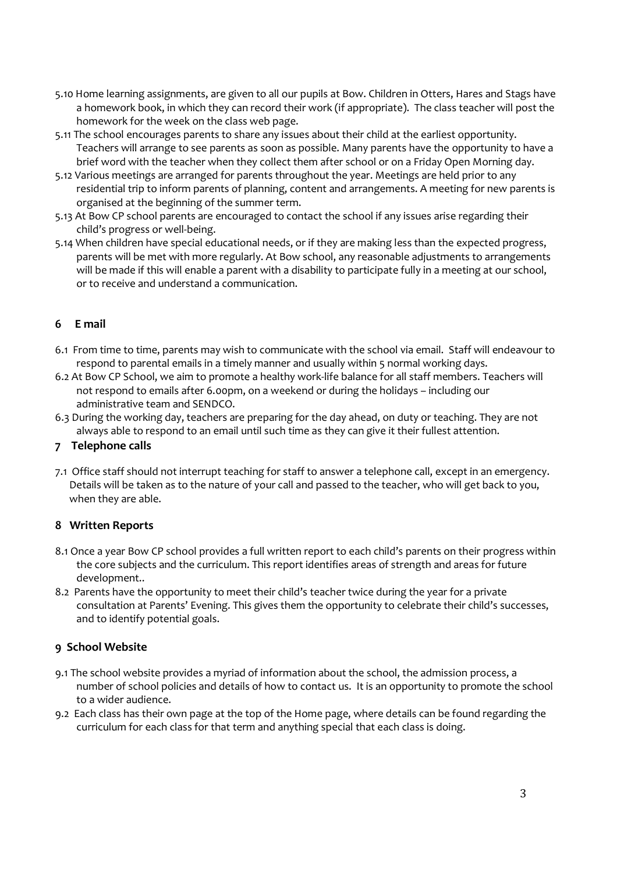- 5.10 Home learning assignments, are given to all our pupils at Bow. Children in Otters, Hares and Stags have a homework book, in which they can record their work (if appropriate). The class teacher will post the homework for the week on the class web page.
- 5.11 The school encourages parents to share any issues about their child at the earliest opportunity. Teachers will arrange to see parents as soon as possible. Many parents have the opportunity to have a brief word with the teacher when they collect them after school or on a Friday Open Morning day.
- 5.12 Various meetings are arranged for parents throughout the year. Meetings are held prior to any residential trip to inform parents of planning, content and arrangements. A meeting for new parents is organised at the beginning of the summer term.
- 5.13 At Bow CP school parents are encouraged to contact the school if any issues arise regarding their child's progress or well-being.
- 5.14 When children have special educational needs, or if they are making less than the expected progress, parents will be met with more regularly. At Bow school, any reasonable adjustments to arrangements will be made if this will enable a parent with a disability to participate fully in a meeting at our school, or to receive and understand a communication.

# **6 E mail**

- 6.1 From time to time, parents may wish to communicate with the school via email. Staff will endeavour to respond to parental emails in a timely manner and usually within 5 normal working days.
- 6.2 At Bow CP School, we aim to promote a healthy work-life balance for all staff members. Teachers will not respond to emails after 6.00pm, on a weekend or during the holidays – including our administrative team and SENDCO.
- 6.3 During the working day, teachers are preparing for the day ahead, on duty or teaching. They are not always able to respond to an email until such time as they can give it their fullest attention.

### **7 Telephone calls**

7.1 Office staff should not interrupt teaching for staff to answer a telephone call, except in an emergency. Details will be taken as to the nature of your call and passed to the teacher, who will get back to you, when they are able.

### **8 Written Reports**

- 8.1 Once a year Bow CP school provides a full written report to each child's parents on their progress within the core subjects and the curriculum. This report identifies areas of strength and areas for future development..
- 8.2 Parents have the opportunity to meet their child's teacher twice during the year for a private consultation at Parents' Evening. This gives them the opportunity to celebrate their child's successes, and to identify potential goals.

# **9 School Website**

- 9.1 The school website provides a myriad of information about the school, the admission process, a number of school policies and details of how to contact us. It is an opportunity to promote the school to a wider audience.
- 9.2 Each class has their own page at the top of the Home page, where details can be found regarding the curriculum for each class for that term and anything special that each class is doing.